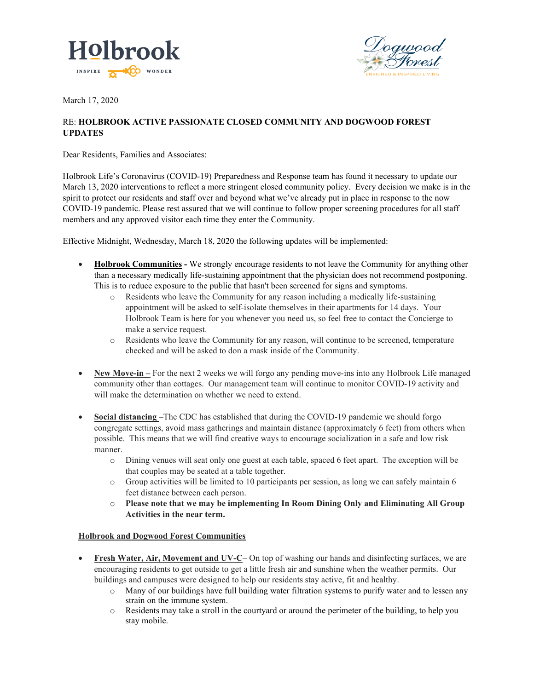



March 17, 2020

## RE: **HOLBROOK ACTIVE PASSIONATE CLOSED COMMUNITY AND DOGWOOD FOREST UPDATES**

Dear Residents, Families and Associates:

Holbrook Life's Coronavirus (COVID-19) Preparedness and Response team has found it necessary to update our March 13, 2020 interventions to reflect a more stringent closed community policy. Every decision we make is in the spirit to protect our residents and staff over and beyond what we've already put in place in response to the now COVID-19 pandemic. Please rest assured that we will continue to follow proper screening procedures for all staff members and any approved visitor each time they enter the Community.

Effective Midnight, Wednesday, March 18, 2020 the following updates will be implemented:

- **Holbrook Communities -** We strongly encourage residents to not leave the Community for anything other than a necessary medically life-sustaining appointment that the physician does not recommend postponing. This is to reduce exposure to the public that hasn't been screened for signs and symptoms.
	- o Residents who leave the Community for any reason including a medically life-sustaining appointment will be asked to self-isolate themselves in their apartments for 14 days. Your Holbrook Team is here for you whenever you need us, so feel free to contact the Concierge to make a service request.
	- o Residents who leave the Community for any reason, will continue to be screened, temperature checked and will be asked to don a mask inside of the Community.
- **New Move-in** For the next 2 weeks we will forgo any pending move-ins into any Holbrook Life managed community other than cottages. Our management team will continue to monitor COVID-19 activity and will make the determination on whether we need to extend.
- **Social distancing** –The CDC has established that during the COVID-19 pandemic we should forgo congregate settings, avoid mass gatherings and maintain distance (approximately 6 feet) from others when possible. This means that we will find creative ways to encourage socialization in a safe and low risk manner.
	- o Dining venues will seat only one guest at each table, spaced 6 feet apart. The exception will be that couples may be seated at a table together.
	- $\circ$  Group activities will be limited to 10 participants per session, as long we can safely maintain 6 feet distance between each person.
	- o **Please note that we may be implementing In Room Dining Only and Eliminating All Group Activities in the near term.**

## **Holbrook and Dogwood Forest Communities**

- **Fresh Water, Air, Movement and UV-C** On top of washing our hands and disinfecting surfaces, we are encouraging residents to get outside to get a little fresh air and sunshine when the weather permits. Our buildings and campuses were designed to help our residents stay active, fit and healthy.
	- o Many of our buildings have full building water filtration systems to purify water and to lessen any strain on the immune system.
	- o Residents may take a stroll in the courtyard or around the perimeter of the building, to help you stay mobile.